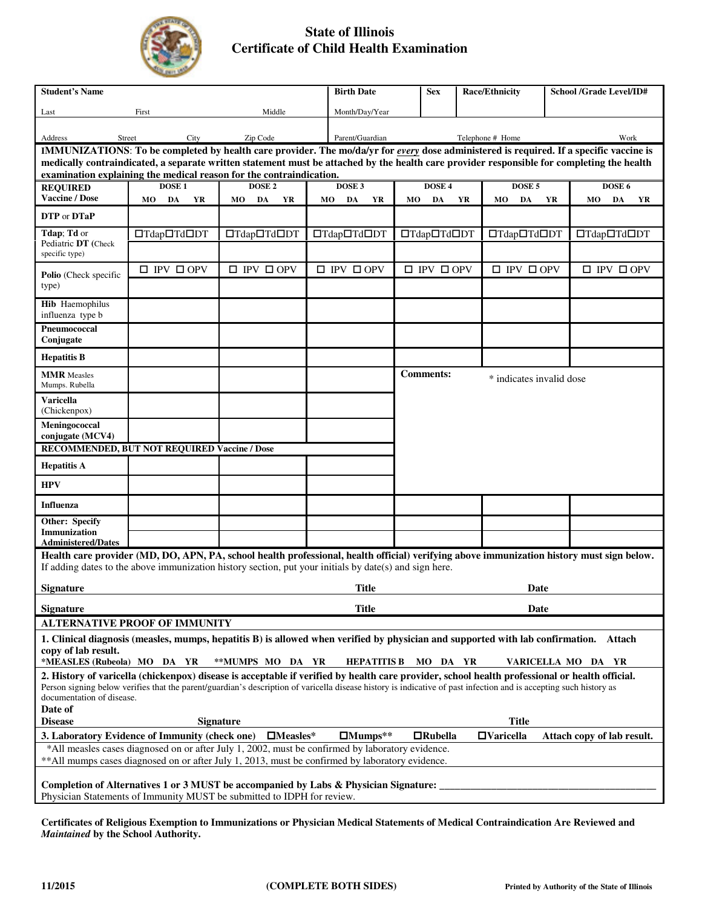

## **State of Illinois Certificate of Child Health Examination**

| <b>Student's Name</b>                                                                                                                                                                                                                                                                                                                                       |                                                                                                        | <b>Birth Date</b>           |                             | <b>Sex</b>      | <b>Race/Ethnicity</b> |                             | <b>School /Grade Level/ID#</b>               |                             |        |                             |  |  |  |
|-------------------------------------------------------------------------------------------------------------------------------------------------------------------------------------------------------------------------------------------------------------------------------------------------------------------------------------------------------------|--------------------------------------------------------------------------------------------------------|-----------------------------|-----------------------------|-----------------|-----------------------|-----------------------------|----------------------------------------------|-----------------------------|--------|-----------------------------|--|--|--|
| Middle<br>First<br>Last                                                                                                                                                                                                                                                                                                                                     |                                                                                                        |                             |                             | Month/Day/Year  |                       |                             |                                              |                             |        |                             |  |  |  |
| Address                                                                                                                                                                                                                                                                                                                                                     | Zip Code<br>Street<br>City                                                                             |                             |                             | Parent/Guardian |                       |                             | Telephone # Home                             |                             |        | Work                        |  |  |  |
| IMMUNIZATIONS: To be completed by health care provider. The mo/da/yr for every dose administered is required. If a specific vaccine is<br>medically contraindicated, a separate written statement must be attached by the health care provider responsible for completing the health<br>examination explaining the medical reason for the contraindication. |                                                                                                        |                             |                             |                 |                       |                             |                                              |                             |        |                             |  |  |  |
| <b>REQUIRED</b>                                                                                                                                                                                                                                                                                                                                             | DOSE <sub>3</sub><br><b>DOSE1</b><br>DOSE <sub>2</sub>                                                 |                             |                             |                 | DOSE 4                |                             |                                              | DOSE 5                      | DOSE 6 |                             |  |  |  |
| <b>Vaccine / Dose</b>                                                                                                                                                                                                                                                                                                                                       | DA<br>YR<br>MO                                                                                         | MO DA<br>YR                 | MO<br>DA                    | YR              | МO                    | DA<br>YR                    |                                              | DA<br>YR<br>MO              |        | DA<br>MO<br>YR              |  |  |  |
| <b>DTP</b> or <b>DTaP</b>                                                                                                                                                                                                                                                                                                                                   |                                                                                                        |                             |                             |                 |                       |                             |                                              |                             |        |                             |  |  |  |
| Tdap; Td or<br>Pediatric DT (Check<br>specific type)                                                                                                                                                                                                                                                                                                        | □Tdap□Td□DT                                                                                            | □Tdap□Td□DT                 | □Tdap□Td□DT                 |                 |                       | □Tdap□Td□DT                 |                                              | □Tdap□Td□DT                 |        | □Tdap□Td□DT                 |  |  |  |
| Polio (Check specific<br>type)                                                                                                                                                                                                                                                                                                                              | $\square$ IPV $\square$ OPV                                                                            | $\square$ IPV $\square$ OPV | $\square$ IPV $\square$ OPV |                 |                       | $\square$ IPV $\square$ OPV |                                              | $\square$ IPV $\square$ OPV |        | $\square$ IPV $\square$ OPV |  |  |  |
| <b>Hib</b> Haemophilus<br>influenza type b                                                                                                                                                                                                                                                                                                                  |                                                                                                        |                             |                             |                 |                       |                             |                                              |                             |        |                             |  |  |  |
| Pneumococcal<br>Conjugate                                                                                                                                                                                                                                                                                                                                   |                                                                                                        |                             |                             |                 |                       |                             |                                              |                             |        |                             |  |  |  |
| <b>Hepatitis B</b>                                                                                                                                                                                                                                                                                                                                          |                                                                                                        |                             |                             |                 |                       |                             |                                              |                             |        |                             |  |  |  |
| <b>MMR</b> Measles<br>Mumps. Rubella                                                                                                                                                                                                                                                                                                                        |                                                                                                        |                             |                             |                 |                       |                             | <b>Comments:</b><br>* indicates invalid dose |                             |        |                             |  |  |  |
| <b>Varicella</b><br>(Chickenpox)                                                                                                                                                                                                                                                                                                                            |                                                                                                        |                             |                             |                 |                       |                             |                                              |                             |        |                             |  |  |  |
| Meningococcal<br>conjugate (MCV4)                                                                                                                                                                                                                                                                                                                           |                                                                                                        |                             |                             |                 |                       |                             |                                              |                             |        |                             |  |  |  |
| <b>RECOMMENDED, BUT NOT REQUIRED Vaccine / Dose</b>                                                                                                                                                                                                                                                                                                         |                                                                                                        |                             |                             |                 |                       |                             |                                              |                             |        |                             |  |  |  |
| <b>Hepatitis A</b>                                                                                                                                                                                                                                                                                                                                          |                                                                                                        |                             |                             |                 |                       |                             |                                              |                             |        |                             |  |  |  |
| <b>HPV</b>                                                                                                                                                                                                                                                                                                                                                  |                                                                                                        |                             |                             |                 |                       |                             |                                              |                             |        |                             |  |  |  |
| <b>Influenza</b>                                                                                                                                                                                                                                                                                                                                            |                                                                                                        |                             |                             |                 |                       |                             |                                              |                             |        |                             |  |  |  |
| <b>Other: Specify</b><br><b>Immunization</b>                                                                                                                                                                                                                                                                                                                |                                                                                                        |                             |                             |                 |                       |                             |                                              |                             |        |                             |  |  |  |
| <b>Administered/Dates</b><br>Health care provider (MD, DO, APN, PA, school health professional, health official) verifying above immunization history must sign below.                                                                                                                                                                                      |                                                                                                        |                             |                             |                 |                       |                             |                                              |                             |        |                             |  |  |  |
|                                                                                                                                                                                                                                                                                                                                                             | If adding dates to the above immunization history section, put your initials by date(s) and sign here. |                             |                             |                 |                       |                             |                                              |                             |        |                             |  |  |  |
| <b>Signature</b>                                                                                                                                                                                                                                                                                                                                            | <b>Title</b>                                                                                           |                             |                             |                 |                       | Date                        |                                              |                             |        |                             |  |  |  |
| <b>Signature</b>                                                                                                                                                                                                                                                                                                                                            | <b>Title</b>                                                                                           | Date                        |                             |                 |                       |                             |                                              |                             |        |                             |  |  |  |
|                                                                                                                                                                                                                                                                                                                                                             | <b>ALTERNATIVE PROOF OF IMMUNITY</b>                                                                   |                             |                             |                 |                       |                             |                                              |                             |        |                             |  |  |  |
| 1. Clinical diagnosis (measles, mumps, hepatitis B) is allowed when verified by physician and supported with lab confirmation. Attach<br>copy of lab result.<br>*MEASLES (Rubeola) MO DA YR<br>**MUMPS MO DA YR<br><b>HEPATITIS B</b><br>MO DA YR<br>VARICELLA MO DA YR                                                                                     |                                                                                                        |                             |                             |                 |                       |                             |                                              |                             |        |                             |  |  |  |
| 2. History of varicella (chickenpox) disease is acceptable if verified by health care provider, school health professional or health official.<br>Person signing below verifies that the parent/guardian's description of varicella disease history is indicative of past infection and is accepting such history as<br>documentation of disease.           |                                                                                                        |                             |                             |                 |                       |                             |                                              |                             |        |                             |  |  |  |
| Date of                                                                                                                                                                                                                                                                                                                                                     |                                                                                                        |                             |                             |                 |                       |                             |                                              |                             |        |                             |  |  |  |
| <b>Title</b><br><b>Disease</b><br><b>Signature</b><br>$\Box$ Varicella                                                                                                                                                                                                                                                                                      |                                                                                                        |                             |                             |                 |                       |                             |                                              |                             |        |                             |  |  |  |
| 3. Laboratory Evidence of Immunity (check one)<br>$\Box$ Mumps**<br>$\square$ Measles*<br>$\Box$ Rubella<br>Attach copy of lab result.<br>*All measles cases diagnosed on or after July 1, 2002, must be confirmed by laboratory evidence.<br>** All mumps cases diagnosed on or after July 1, 2013, must be confirmed by laboratory evidence.              |                                                                                                        |                             |                             |                 |                       |                             |                                              |                             |        |                             |  |  |  |
| Completion of Alternatives 1 or 3 MUST be accompanied by Labs & Physician Signature:<br>Physician Statements of Immunity MUST be submitted to IDPH for review.                                                                                                                                                                                              |                                                                                                        |                             |                             |                 |                       |                             |                                              |                             |        |                             |  |  |  |

**Certificates of Religious Exemption to Immunizations or Physician Medical Statements of Medical Contraindication Are Reviewed and** *Maintained* **by the School Authority.**